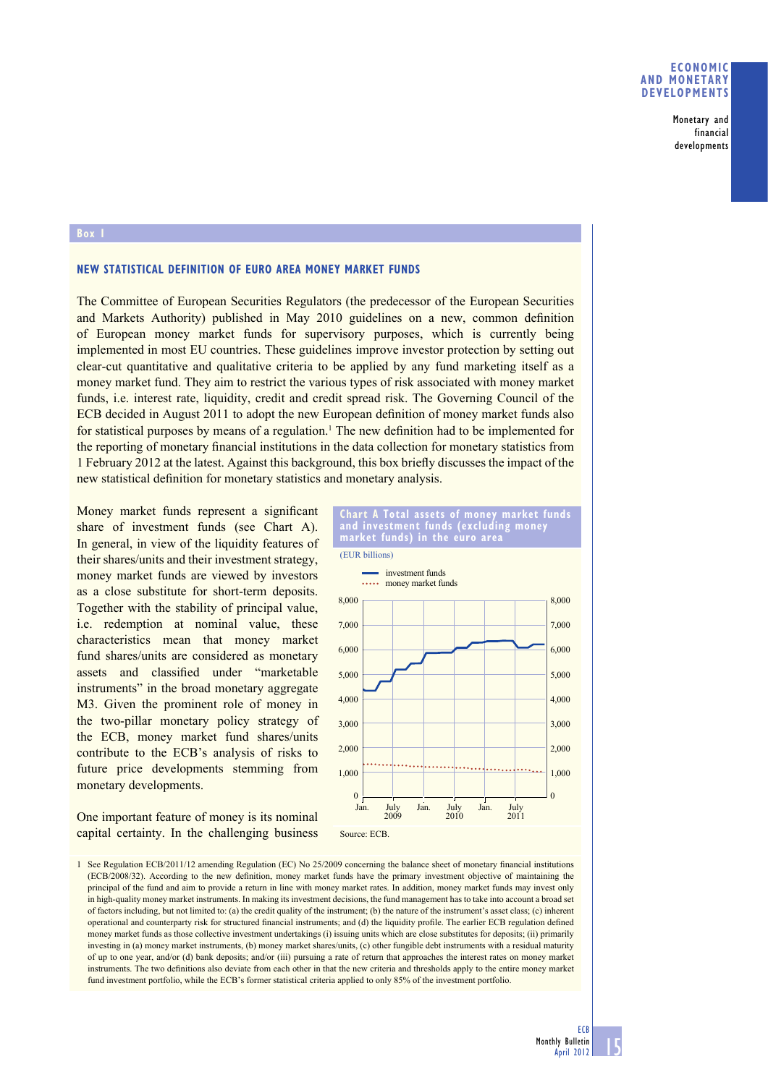## **ECONOMIC AND MONETARY DEVELOPMENTS**

**Monetary and financial developments**

### **Box 1**

## **NEW STATISTICAL DEFINITION OF EURO AREA MONEY MARKET FUNDS**

The Committee of European Securities Regulators (the predecessor of the European Securities and Markets Authority) published in May 2010 guidelines on a new, common definition of European money market funds for supervisory purposes, which is currently being implemented in most EU countries. These guidelines improve investor protection by setting out clear-cut quantitative and qualitative criteria to be applied by any fund marketing itself as a money market fund. They aim to restrict the various types of risk associated with money market funds, i.e. interest rate, liquidity, credit and credit spread risk. The Governing Council of the ECB decided in August 2011 to adopt the new European definition of money market funds also for statistical purposes by means of a regulation.<sup>1</sup> The new definition had to be implemented for the reporting of monetary financial institutions in the data collection for monetary statistics from 1 February 2012 at the latest. Against this background, this box briefl y discusses the impact of the new statistical definition for monetary statistics and monetary analysis.

Money market funds represent a significant share of investment funds (see Chart A). In general, in view of the liquidity features of their shares/units and their investment strategy, money market funds are viewed by investors as a close substitute for short-term deposits. Together with the stability of principal value, i.e. redemption at nominal value, these characteristics mean that money market fund shares/units are considered as monetary assets and classified under "marketable instruments" in the broad monetary aggregate M3. Given the prominent role of money in the two-pillar monetary policy strategy of the ECB, money market fund shares/units contribute to the ECB's analysis of risks to future price developments stemming from monetary developments.

One important feature of money is its nominal capital certainty. In the challenging business





<sup>1</sup> See Regulation ECB/2011/12 amending Regulation (EC) No 25/2009 concerning the balance sheet of monetary financial institutions (ECB/2008/32). According to the new definition, money market funds have the primary investment objective of maintaining the principal of the fund and aim to provide a return in line with money market rates. In addition, money market funds may invest only in high-quality money market instruments. In making its investment decisions, the fund management has to take into account a broad set of factors including, but not limited to: (a) the credit quality of the instrument; (b) the nature of the instrument's asset class; (c) inherent operational and counterparty risk for structured financial instruments; and (d) the liquidity profile. The earlier ECB regulation defined money market funds as those collective investment undertakings (i) issuing units which are close substitutes for deposits; (ii) primarily investing in (a) money market instruments, (b) money market shares/units, (c) other fungible debt instruments with a residual maturity of up to one year, and/or (d) bank deposits; and/or (iii) pursuing a rate of return that approaches the interest rates on money market instruments. The two definitions also deviate from each other in that the new criteria and thresholds apply to the entire money market fund investment portfolio, while the ECB's former statistical criteria applied to only 85% of the investment portfolio.

**ECB**

**15**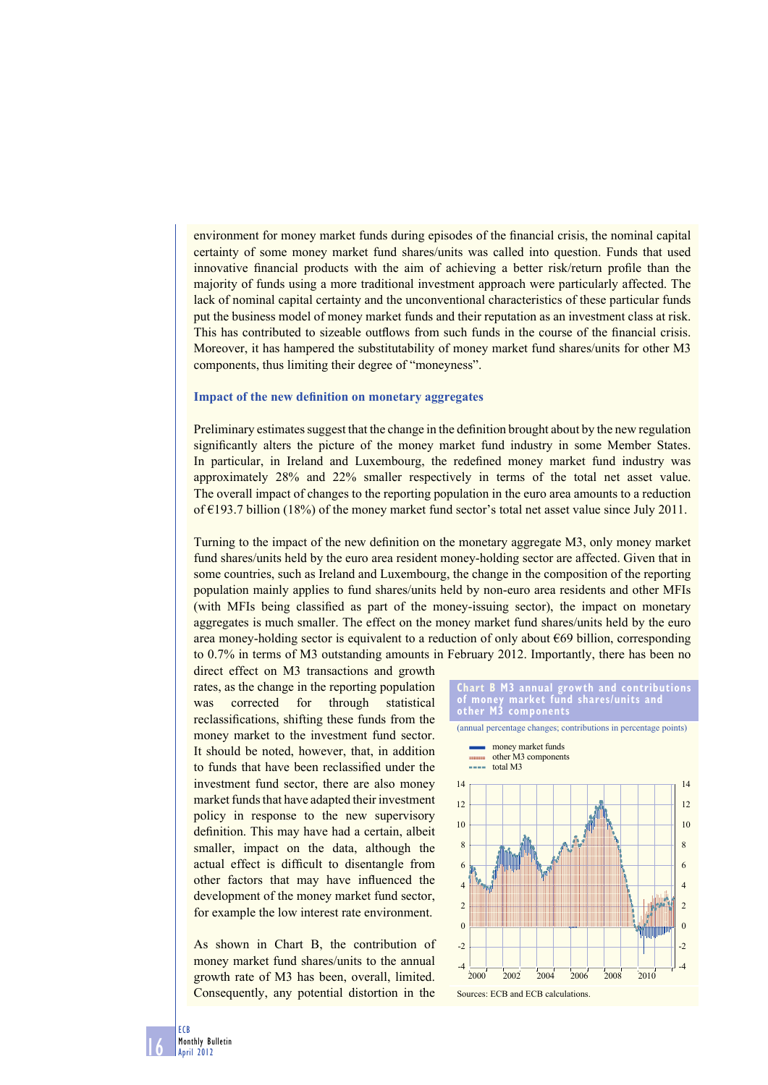environment for money market funds during episodes of the financial crisis, the nominal capital certainty of some money market fund shares/units was called into question. Funds that used innovative financial products with the aim of achieving a better risk/return profile than the majority of funds using a more traditional investment approach were particularly affected. The lack of nominal capital certainty and the unconventional characteristics of these particular funds put the business model of money market funds and their reputation as an investment class at risk. This has contributed to sizeable outflows from such funds in the course of the financial crisis. Moreover, it has hampered the substitutability of money market fund shares/units for other M3 components, thus limiting their degree of "moneyness".

### **Impact of the new definition on monetary aggregates**

Preliminary estimates suggest that the change in the definition brought about by the new regulation significantly alters the picture of the money market fund industry in some Member States. In particular, in Ireland and Luxembourg, the redefined money market fund industry was approximately 28% and 22% smaller respectively in terms of the total net asset value. The overall impact of changes to the reporting population in the euro area amounts to a reduction of  $\epsilon$ 193.7 billion (18%) of the money market fund sector's total net asset value since July 2011.

Turning to the impact of the new definition on the monetary aggregate M3, only money market fund shares/units held by the euro area resident money-holding sector are affected. Given that in some countries, such as Ireland and Luxembourg, the change in the composition of the reporting population mainly applies to fund shares/units held by non-euro area residents and other MFIs (with MFIs being classified as part of the money-issuing sector), the impact on monetary aggregates is much smaller. The effect on the money market fund shares/units held by the euro area money-holding sector is equivalent to a reduction of only about  $E(69)$  billion, corresponding to 0.7% in terms of M3 outstanding amounts in February 2012. Importantly, there has been no

direct effect on M3 transactions and growth rates, as the change in the reporting population was corrected for through statistical reclassifications, shifting these funds from the money market to the investment fund sector. It should be noted, however, that, in addition to funds that have been reclassified under the investment fund sector, there are also money market funds that have adapted their investment policy in response to the new supervisory definition. This may have had a certain, albeit smaller, impact on the data, although the actual effect is difficult to disentangle from other factors that may have influenced the development of the money market fund sector, for example the low interest rate environment.

As shown in Chart B, the contribution of money market fund shares/units to the annual growth rate of M3 has been, overall, limited. Consequently, any potential distortion in the





**16**